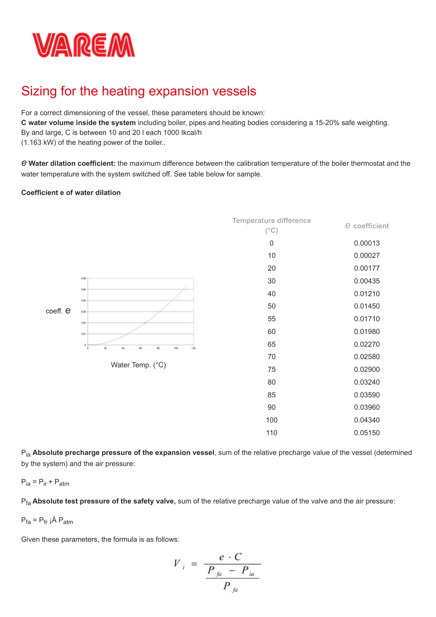

# Sizing for the heating expansion vessels

For a correct dimensioning of the vessel, these parameters should be known:

**C water volume inside the system** including boiler, pipes and heating bodies considering a 15-20% safe weighting.

By and large, C is between 10 and 20 l each 1000 Ikcal/h

(1.163 kW) of the heating power of the boiler..

*e* **Water dilation coefficient:** the maximum difference between the calibration temperature of the boiler thermostat and the water temperature with the system switched off. See table below for sample.

### **Coefficient e of water dilation**



Pia **Absolute precharge pressure of the expansion vessel**, sum of the relative precharge value of the vessel (determined by the system) and the air pressure:

$$
P_{ia} = P_{ir} + P_{atm}
$$

Pfa **Absolute test pressure of the safety valve,** sum of the relative precharge value of the valve and the air pressure:

$$
P_{fa} = P_{fr} \hat{A} P_{atm}
$$

Given these parameters, the formula is as follows:

$$
V_{i} = \frac{e \cdot C}{\frac{P_{ja} - P_{ia}}{P_{fa}}}
$$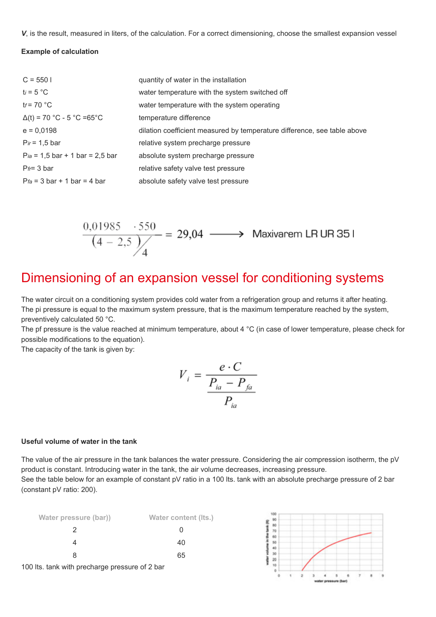*V*, is the result, measured in liters, of the calculation. For a correct dimensioning, choose the smallest expansion vessel

## **Example of calculation**

| $C = 5501$                         | quantity of water in the installation                                    |
|------------------------------------|--------------------------------------------------------------------------|
| $t_i = 5 °C$                       | water temperature with the system switched off                           |
| $tr = 70 °C$                       | water temperature with the system operating                              |
| $\Delta(t) = 70$ °C - 5 °C =65 °C  | temperature difference                                                   |
| $e = 0,0198$                       | dilation coefficient measured by temperature difference, see table above |
| $Pr = 1.5$ bar                     | relative system precharge pressure                                       |
| $Pi_a = 1.5$ bar + 1 bar = 2.5 bar | absolute system precharge pressure                                       |
| $Pr=3$ bar                         | relative safety valve test pressure                                      |
| $Pfa = 3 bar + 1 bar = 4 bar$      | absolute safety valve test pressure                                      |

$$
\frac{0,01985 \cdot 550}{(4-2,5)/4} = 29,04 \longrightarrow \text{Maxivarem LR UR 351}
$$

# Dimensioning of an expansion vessel for conditioning systems

The water circuit on a conditioning system provides cold water from a refrigeration group and returns it after heating. The pi pressure is equal to the maximum system pressure, that is the maximum temperature reached by the system, preventively calculated 50 °C.

The pf pressure is the value reached at minimum temperature, about 4 °C (in case of lower temperature, please check for possible modifications to the equation).

The capacity of the tank is given by:

$$
V_i = \frac{e \cdot C}{\frac{P_{ia} - P_{fa}}{P_{ia}}}
$$

### **Useful volume of water in the tank**

The value of the air pressure in the tank balances the water pressure. Considering the air compression isotherm, the pV product is constant. Introducing water in the tank, the air volume decreases, increasing pressure.

See the table below for an example of constant pV ratio in a 100 lts, tank with an absolute precharge pressure of 2 bar (constant pV ratio: 200).

| Water pressure (bar))                          | Water content (Its.) |
|------------------------------------------------|----------------------|
|                                                |                      |
|                                                | 40                   |
| 8                                              | 65                   |
| 100 lts. tank with precharge pressure of 2 bar |                      |